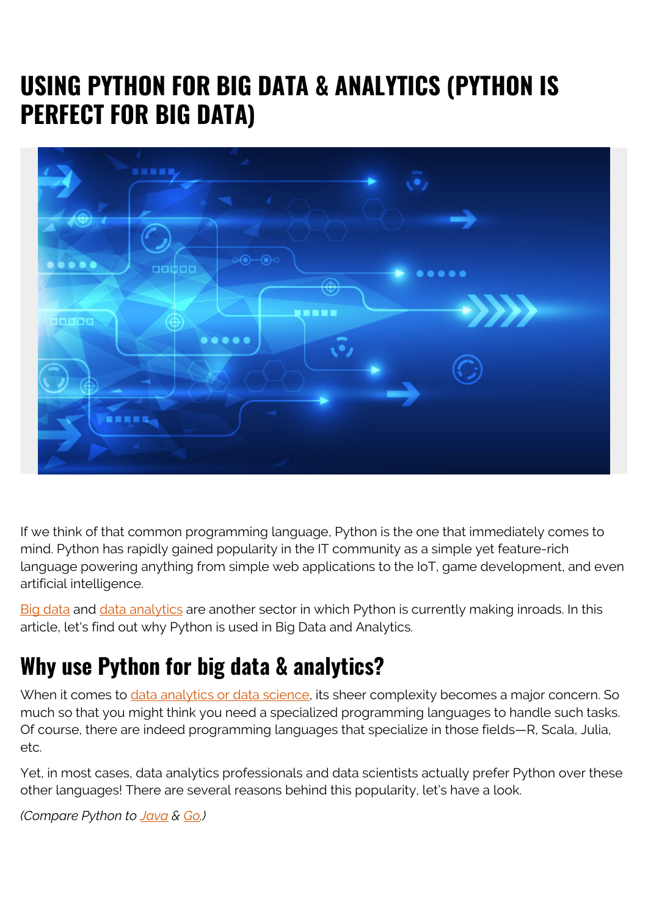# **USING PYTHON FOR BIG DATA & ANALYTICS (PYTHON IS PERFECT FOR BIG DATA)**



If we think of that common programming language, Python is the one that immediately comes to mind. Python has rapidly gained popularity in the IT community as a simple yet feature-rich language powering anything from simple web applications to the IoT, game development, and even artificial intelligence.

[Big data](https://blogs.bmc.com/blogs/big-data/) and [data analytics](https://blogs.bmc.com/blogs/data-analytics-vs-data-analysis) are another sector in which Python is currently making inroads. In this article, let's find out why Python is used in Big Data and Analytics.

## **Why use Python for big data & analytics?**

When it comes to [data analytics or data science](https://blogs.bmc.com/blogs/big-data-vs-analytics/), its sheer complexity becomes a major concern. So much so that you might think you need a specialized programming languages to handle such tasks. Of course, there are indeed programming languages that specialize in those fields—R, Scala, Julia, etc.

Yet, in most cases, data analytics professionals and data scientists actually prefer Python over these other languages! There are several reasons behind this popularity, let's have a look.

*(Compare Python to [Java](https://blogs.bmc.com/blogs/python-vs-java/) & [Go.](https://blogs.bmc.com/blogs/go-vs-python/))*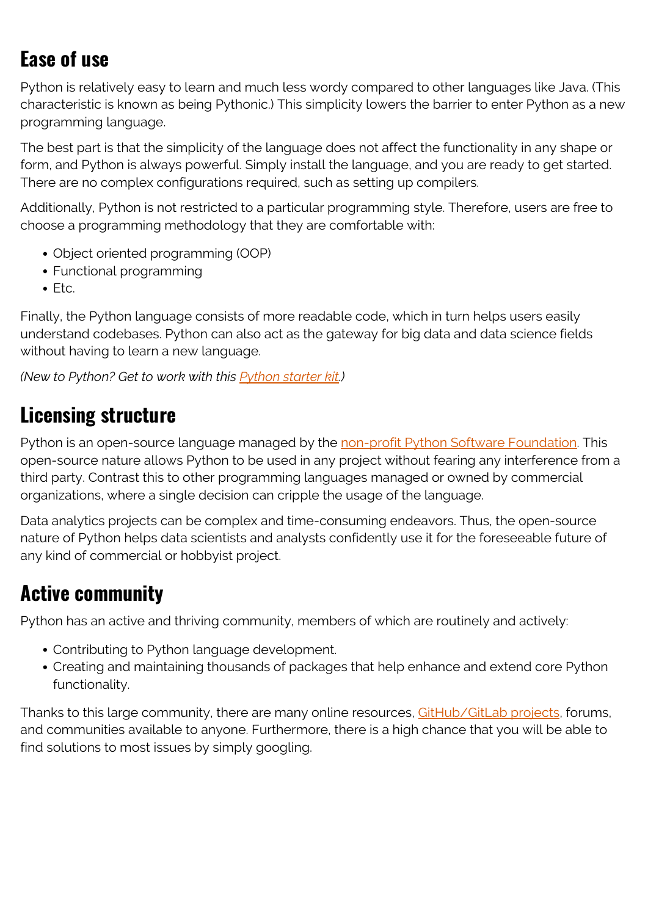### **Ease of use**

Python is relatively easy to learn and much less wordy compared to other languages like Java. (This characteristic is known as being Pythonic.) This simplicity lowers the barrier to enter Python as a new programming language.

The best part is that the simplicity of the language does not affect the functionality in any shape or form, and Python is always powerful. Simply install the language, and you are ready to get started. There are no complex configurations required, such as setting up compilers.

Additionally, Python is not restricted to a particular programming style. Therefore, users are free to choose a programming methodology that they are comfortable with:

- Object oriented programming (OOP)
- Functional programming
- Etc.

Finally, the Python language consists of more readable code, which in turn helps users easily understand codebases. Python can also act as the gateway for big data and data science fields without having to learn a new language.

*(New to Python? Get to work with this [Python starter kit](https://blogs.bmc.com/blogs/python-tooling/).)*

### **Licensing structure**

Python is an open-source language managed by the [non-profit Python Software Foundation](https://www.python.org/psf/). This open-source nature allows Python to be used in any project without fearing any interference from a third party. Contrast this to other programming languages managed or owned by commercial organizations, where a single decision can cripple the usage of the language.

Data analytics projects can be complex and time-consuming endeavors. Thus, the open-source nature of Python helps data scientists and analysts confidently use it for the foreseeable future of any kind of commercial or hobbyist project.

### **Active community**

Python has an active and thriving community, members of which are routinely and actively:

- Contributing to Python language development.
- Creating and maintaining thousands of packages that help enhance and extend core Python functionality.

Thanks to this large community, there are many online resources, [GitHub/GitLab projects](https://blogs.bmc.com/blogs/github-vs-gitlab-vs-bitbucket/), forums, and communities available to anyone. Furthermore, there is a high chance that you will be able to find solutions to most issues by simply googling.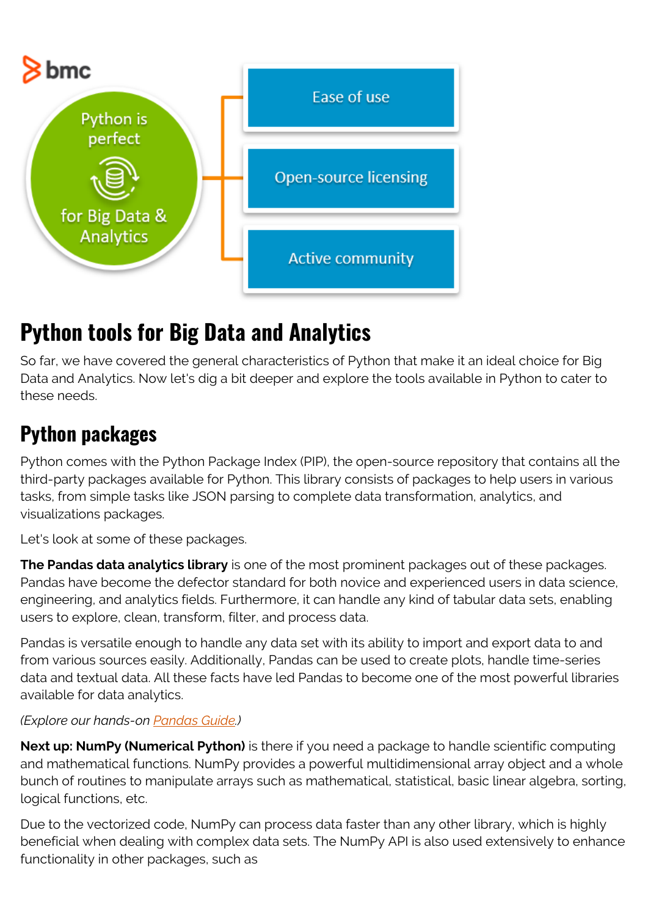

# **Python tools for Big Data and Analytics**

So far, we have covered the general characteristics of Python that make it an ideal choice for Big Data and Analytics. Now let's dig a bit deeper and explore the tools available in Python to cater to these needs.

## **Python packages**

Python comes with the Python Package Index (PIP), the open-source repository that contains all the third-party packages available for Python. This library consists of packages to help users in various tasks, from simple tasks like JSON parsing to complete data transformation, analytics, and visualizations packages.

Let's look at some of these packages.

**The Pandas data analytics library** is one of the most prominent packages out of these packages. Pandas have become the defector standard for both novice and experienced users in data science, engineering, and analytics fields. Furthermore, it can handle any kind of tabular data sets, enabling users to explore, clean, transform, filter, and process data.

Pandas is versatile enough to handle any data set with its ability to import and export data to and from various sources easily. Additionally, Pandas can be used to create plots, handle time-series data and textual data. All these facts have led Pandas to become one of the most powerful libraries available for data analytics.

#### *(Explore our hands-on [Pandas Guide](https://blogs.bmc.com/blogs/pandas-basics/).)*

**Next up: NumPy (Numerical Python)** is there if you need a package to handle scientific computing and mathematical functions. NumPy provides a powerful multidimensional array object and a whole bunch of routines to manipulate arrays such as mathematical, statistical, basic linear algebra, sorting, logical functions, etc.

Due to the vectorized code, NumPy can process data faster than any other library, which is highly beneficial when dealing with complex data sets. The NumPy API is also used extensively to enhance functionality in other packages, such as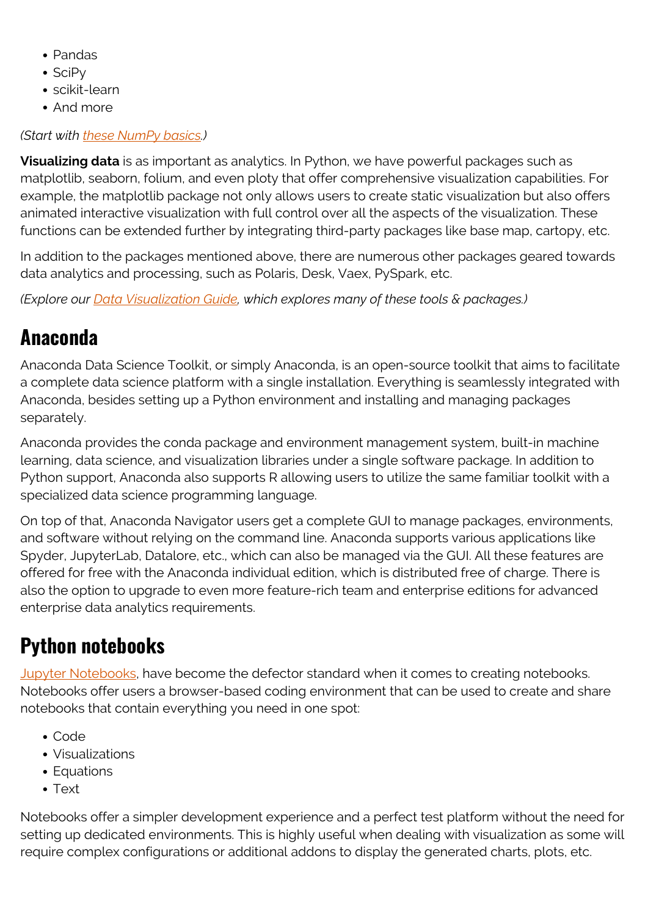- Pandas
- $\bullet$  SciPv
- scikit-learn
- And more

#### *(Start with [these NumPy basics.](https://blogs.bmc.com/blogs/numpy-introduction/))*

**Visualizing data** is as important as analytics. In Python, we have powerful packages such as matplotlib, seaborn, folium, and even ploty that offer comprehensive visualization capabilities. For example, the matplotlib package not only allows users to create static visualization but also offers animated interactive visualization with full control over all the aspects of the visualization. These functions can be extended further by integrating third-party packages like base map, cartopy, etc.

In addition to the packages mentioned above, there are numerous other packages geared towards data analytics and processing, such as Polaris, Desk, Vaex, PySpark, etc.

*(Explore our [Data Visualization Guide](https://blogs.bmc.com/blogs/data-visualization/), which explores many of these tools & packages.)*

## **Anaconda**

Anaconda Data Science Toolkit, or simply Anaconda, is an open-source toolkit that aims to facilitate a complete data science platform with a single installation. Everything is seamlessly integrated with Anaconda, besides setting up a Python environment and installing and managing packages separately.

Anaconda provides the conda package and environment management system, built-in machine learning, data science, and visualization libraries under a single software package. In addition to Python support, Anaconda also supports R allowing users to utilize the same familiar toolkit with a specialized data science programming language.

On top of that, Anaconda Navigator users get a complete GUI to manage packages, environments, and software without relying on the command line. Anaconda supports various applications like Spyder, JupyterLab, Datalore, etc., which can also be managed via the GUI. All these features are offered for free with the Anaconda individual edition, which is distributed free of charge. There is also the option to upgrade to even more feature-rich team and enterprise editions for advanced enterprise data analytics requirements.

### **Python notebooks**

[Jupyter Notebooks](https://blogs.bmc.com/blogs/installing-jupyter-for-big-data-and-analytics/), have become the defector standard when it comes to creating notebooks. Notebooks offer users a browser-based coding environment that can be used to create and share notebooks that contain everything you need in one spot:

- Code
- Visualizations
- Equations
- Text

Notebooks offer a simpler development experience and a perfect test platform without the need for setting up dedicated environments. This is highly useful when dealing with visualization as some will require complex configurations or additional addons to display the generated charts, plots, etc.